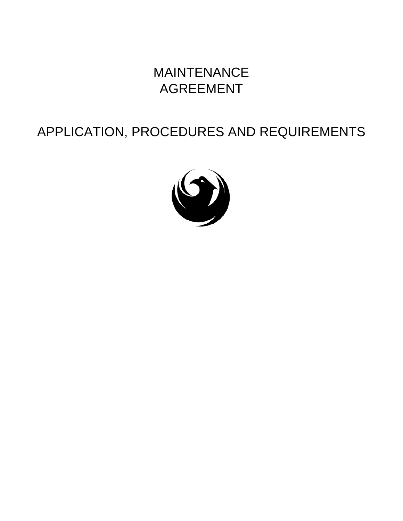## MAINTENANCE AGREEMENT

# APPLICATION, PROCEDURES AND REQUIREMENTS

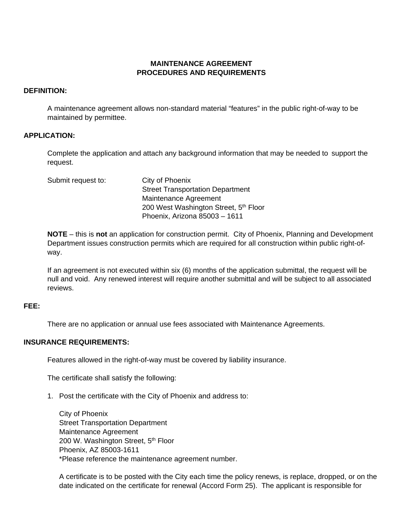#### **MAINTENANCE AGREEMENT PROCEDURES AND REQUIREMENTS**

#### **DEFINITION:**

 A maintenance agreement allows non-standard material "features" in the public right-of-way to be maintained by permittee.

#### **APPLICATION:**

 Complete the application and attach any background information that may be needed to support the request.

| Submit request to: | City of Phoenix                         |
|--------------------|-----------------------------------------|
|                    | <b>Street Transportation Department</b> |
|                    | Maintenance Agreement                   |
|                    | 200 West Washington Street, 5th Floor   |
|                    | Phoenix, Arizona 85003 - 1611           |

**NOTE** – this is **not** an application for construction permit. City of Phoenix, Planning and Development Department issues construction permits which are required for all construction within public right-ofway.

If an agreement is not executed within six (6) months of the application submittal, the request will be null and void. Any renewed interest will require another submittal and will be subject to all associated reviews.

#### **FEE:**

There are no application or annual use fees associated with Maintenance Agreements.

#### **INSURANCE REQUIREMENTS:**

Features allowed in the right-of-way must be covered by liability insurance.

The certificate shall satisfy the following:

1. Post the certificate with the City of Phoenix and address to:

City of Phoenix Street Transportation Department Maintenance Agreement 200 W. Washington Street, 5<sup>th</sup> Floor Phoenix, AZ 85003-1611 \*Please reference the maintenance agreement number.

A certificate is to be posted with the City each time the policy renews, is replace, dropped, or on the date indicated on the certificate for renewal (Accord Form 25). The applicant is responsible for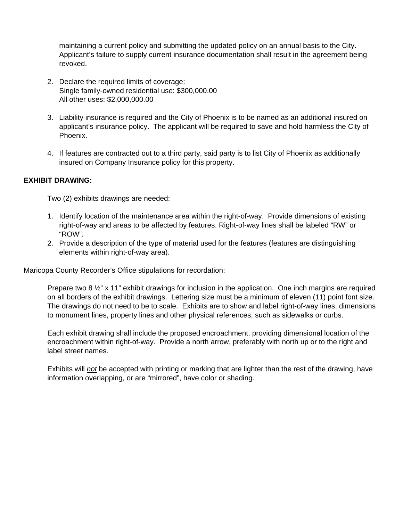maintaining a current policy and submitting the updated policy on an annual basis to the City. Applicant's failure to supply current insurance documentation shall result in the agreement being revoked.

- 2. Declare the required limits of coverage: Single family-owned residential use: \$300,000.00 All other uses: \$2,000,000.00
- 3. Liability insurance is required and the City of Phoenix is to be named as an additional insured on applicant's insurance policy. The applicant will be required to save and hold harmless the City of Phoenix.
- 4. If features are contracted out to a third party, said party is to list City of Phoenix as additionally insured on Company Insurance policy for this property.

### **EXHIBIT DRAWING:**

Two (2) exhibits drawings are needed:

- 1. Identify location of the maintenance area within the right-of-way. Provide dimensions of existing right-of-way and areas to be affected by features. Right-of-way lines shall be labeled "RW" or "ROW".
- 2. Provide a description of the type of material used for the features (features are distinguishing elements within right-of-way area).

Maricopa County Recorder's Office stipulations for recordation:

Prepare two 8  $\frac{1}{2}$ " x 11" exhibit drawings for inclusion in the application. One inch margins are required on all borders of the exhibit drawings. Lettering size must be a minimum of eleven (11) point font size. The drawings do not need to be to scale. Exhibits are to show and label right-of-way lines, dimensions to monument lines, property lines and other physical references, such as sidewalks or curbs.

 Each exhibit drawing shall include the proposed encroachment, providing dimensional location of the encroachment within right-of-way. Provide a north arrow, preferably with north up or to the right and label street names.

Exhibits will *not* be accepted with printing or marking that are lighter than the rest of the drawing, have information overlapping, or are "mirrored", have color or shading.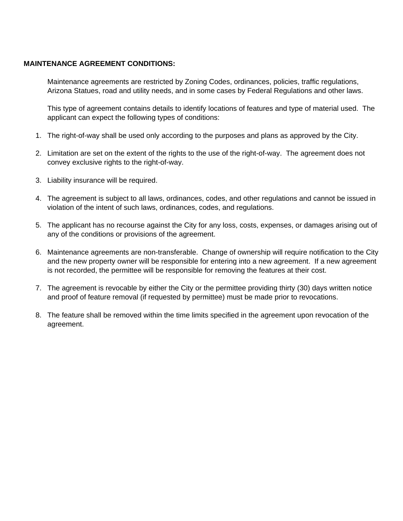#### **MAINTENANCE AGREEMENT CONDITIONS:**

 Maintenance agreements are restricted by Zoning Codes, ordinances, policies, traffic regulations, Arizona Statues, road and utility needs, and in some cases by Federal Regulations and other laws.

 This type of agreement contains details to identify locations of features and type of material used. The applicant can expect the following types of conditions:

- 1. The right-of-way shall be used only according to the purposes and plans as approved by the City.
- 2. Limitation are set on the extent of the rights to the use of the right-of-way. The agreement does not convey exclusive rights to the right-of-way.
- 3. Liability insurance will be required.
- 4. The agreement is subject to all laws, ordinances, codes, and other regulations and cannot be issued in violation of the intent of such laws, ordinances, codes, and regulations.
- 5. The applicant has no recourse against the City for any loss, costs, expenses, or damages arising out of any of the conditions or provisions of the agreement.
- 6. Maintenance agreements are non-transferable. Change of ownership will require notification to the City and the new property owner will be responsible for entering into a new agreement. If a new agreement is not recorded, the permittee will be responsible for removing the features at their cost.
- 7. The agreement is revocable by either the City or the permittee providing thirty (30) days written notice and proof of feature removal (if requested by permittee) must be made prior to revocations.
- 8. The feature shall be removed within the time limits specified in the agreement upon revocation of the agreement.